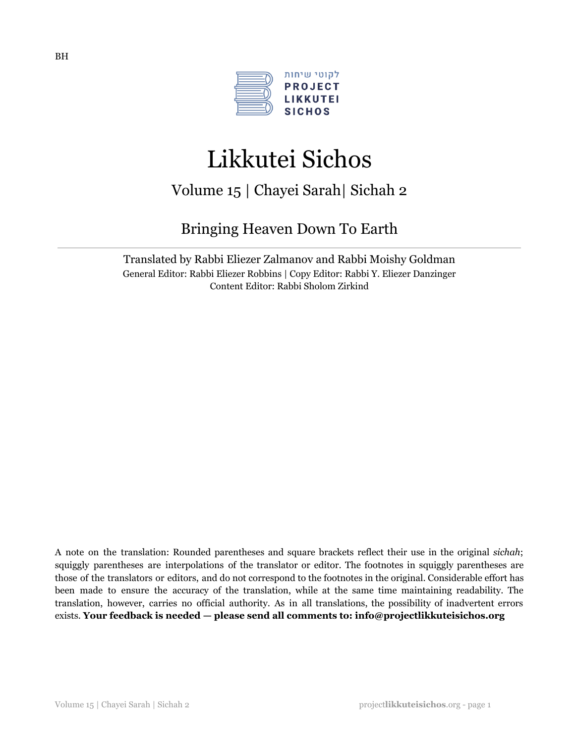

# Likkutei Sichos

# Volume 15 | Chayei Sarah| Sichah 2

# Bringing Heaven Down To Earth

Translated by Rabbi Eliezer Zalmanov and Rabbi Moishy Goldman General Editor: Rabbi Eliezer Robbins | Copy Editor: Rabbi Y. Eliezer Danzinger Content Editor: Rabbi Sholom Zirkind

A note on the translation: Rounded parentheses and square brackets reflect their use in the original *sichah*; squiggly parentheses are interpolations of the translator or editor. The footnotes in squiggly parentheses are those of the translators or editors, and do not correspond to the footnotes in the original. Considerable effort has been made to ensure the accuracy of the translation, while at the same time maintaining readability. The translation, however, carries no official authority. As in all translations, the possibility of inadvertent errors exists. **Your feedback is needed — please send all comments to: info@projectlikkuteisichos.org**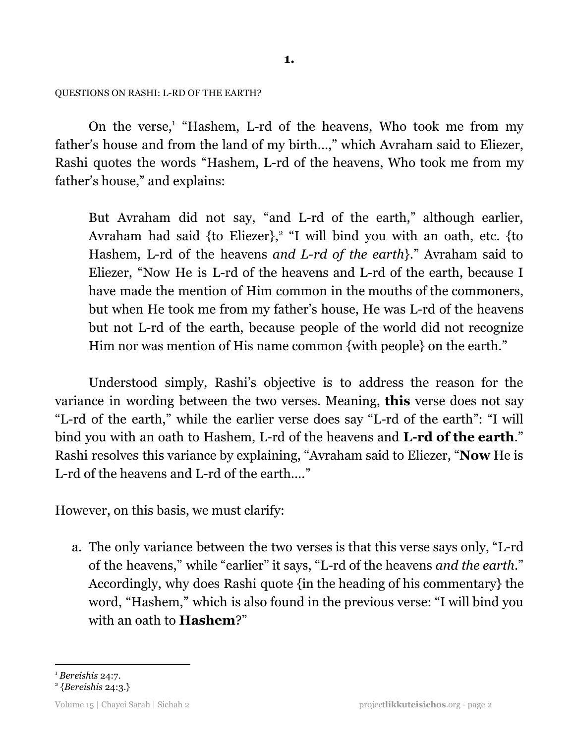#### QUESTIONS ON RASHI: L-RD OF THE EARTH?

On the verse,<sup>1</sup> "Hashem, L-rd of the heavens, Who took me from my father's house and from the land of my birth…," which Avraham said to Eliezer, Rashi quotes the words "Hashem, L-rd of the heavens, Who took me from my father's house," and explains:

But Avraham did not say, "and L-rd of the earth," although earlier, Avraham had said  $\{$  to Eliezer $\}$ , "I will bind you with an oath, etc.  $\{$  to Hashem, L-rd of the heavens *and L-rd of the earth*}." Avraham said to Eliezer, "Now He is L-rd of the heavens and L-rd of the earth, because I have made the mention of Him common in the mouths of the commoners, but when He took me from my father's house, He was L-rd of the heavens but not L-rd of the earth, because people of the world did not recognize Him nor was mention of His name common {with people} on the earth."

Understood simply, Rashi's objective is to address the reason for the variance in wording between the two verses. Meaning, **this** verse does not say "L-rd of the earth," while the earlier verse does say "L-rd of the earth": "I will bind you with an oath to Hashem, L-rd of the heavens and **L-rd of the earth**." Rashi resolves this variance by explaining, "Avraham said to Eliezer, "**Now** He is L-rd of the heavens and L-rd of the earth...."

However, on this basis, we must clarify:

a. The only variance between the two verses is that this verse says only, "L-rd of the heavens," while "earlier" it says, "L-rd of the heavens *and the earth*." Accordingly, why does Rashi quote {in the heading of his commentary} the word, "Hashem," which is also found in the previous verse: "I will bind you with an oath to **Hashem**?"

<sup>1</sup> *Bereishis* 24:7.

<sup>2</sup> {*Bereishis* 24:3.}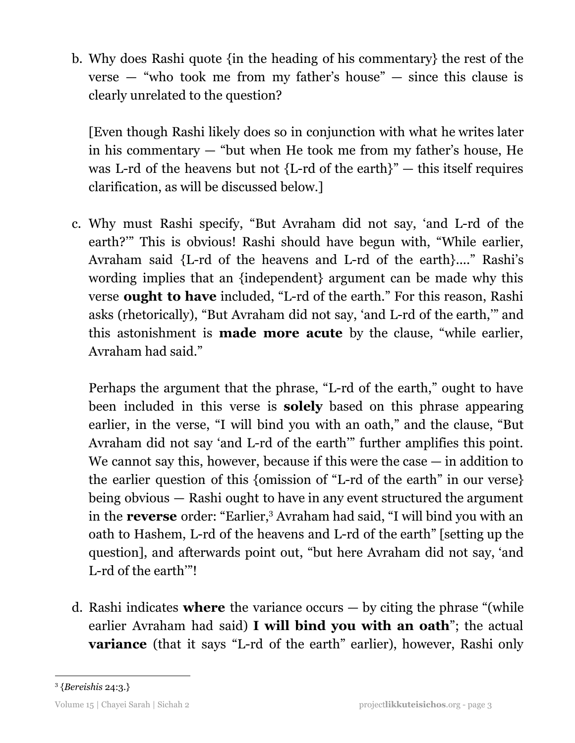b. Why does Rashi quote {in the heading of his commentary} the rest of the verse — "who took me from my father's house" — since this clause is clearly unrelated to the question?

[Even though Rashi likely does so in conjunction with what he writes later in his commentary — "but when He took me from my father's house, He was L-rd of the heavens but not  ${L-d}$  of the earth $"$  – this itself requires clarification, as will be discussed below.]

c. Why must Rashi specify, "But Avraham did not say, 'and L-rd of the earth?'" This is obvious! Rashi should have begun with, "While earlier, Avraham said {L-rd of the heavens and L-rd of the earth}...." Rashi's wording implies that an {independent} argument can be made why this verse **ought to have** included, "L-rd of the earth." For this reason, Rashi asks (rhetorically), "But Avraham did not say, 'and L-rd of the earth,'" and this astonishment is **made more acute** by the clause, "while earlier, Avraham had said."

Perhaps the argument that the phrase, "L-rd of the earth," ought to have been included in this verse is **solely** based on this phrase appearing earlier, in the verse, "I will bind you with an oath," and the clause, "But Avraham did not say 'and L-rd of the earth'" further amplifies this point. We cannot say this, however, because if this were the case — in addition to the earlier question of this {omission of "L-rd of the earth" in our verse} being obvious — Rashi ought to have in any event structured the argument in the **reverse** order: "Earlier,<sup>3</sup> Avraham had said, "I will bind you with an oath to Hashem, L-rd of the heavens and L-rd of the earth" [setting up the question], and afterwards point out, "but here Avraham did not say, 'and L-rd of the earth'"!

d. Rashi indicates **where** the variance occurs — by citing the phrase "(while earlier Avraham had said) **I will bind you with an oath**"; the actual **variance** (that it says "L-rd of the earth" earlier), however, Rashi only

<sup>3</sup> {*Bereishis* 24:3.}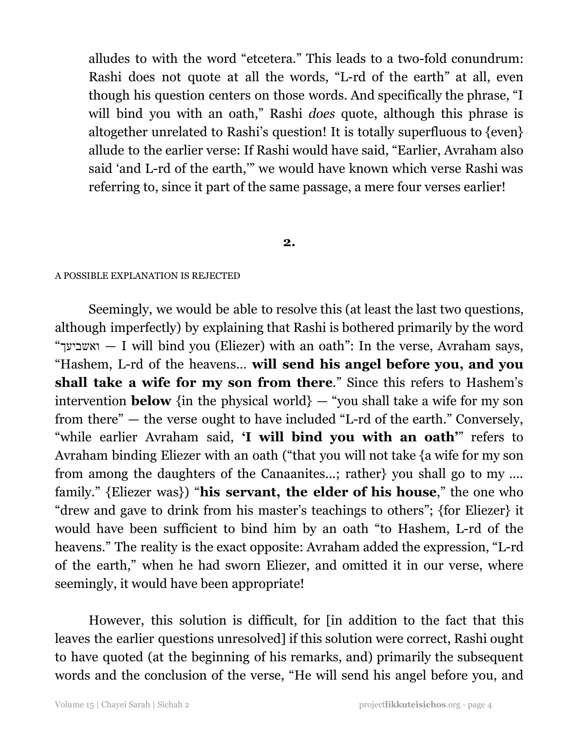alludes to with the word "etcetera." This leads to a two-fold conundrum: Rashi does not quote at all the words, "L-rd of the earth" at all, even though his question centers on those words. And specifically the phrase, "I will bind you with an oath," Rashi *does* quote, although this phrase is altogether unrelated to Rashi's question! It is totally superfluous to {even} allude to the earlier verse: If Rashi would have said, "Earlier, Avraham also said 'and L-rd of the earth,'" we would have known which verse Rashi was referring to, since it part of the same passage, a mere four verses earlier!

### **2.**

#### A POSSIBLE EXPLANATION IS REJECTED

Seemingly, we would be able to resolve this (at least the last two questions, although imperfectly) by explaining that Rashi is bothered primarily by the word "ואשביעך" — I will bind you (Eliezer) with an oath": In the verse, Avraham says, "Hashem, L-rd of the heavens… **will send his angel before you, and you shall take a wife for my son from there**." Since this refers to Hashem's intervention **below** {in the physical world}  $-$  "you shall take a wife for my son from there" — the verse ought to have included "L-rd of the earth." Conversely, "while earlier Avraham said, **'I will bind you with an oath'**" refers to Avraham binding Eliezer with an oath ("that you will not take {a wife for my son from among the daughters of the Canaanites...; rather} you shall go to my …. family." {Eliezer was}) "**his servant, the elder of his house**," the one who "drew and gave to drink from his master's teachings to others"; {for Eliezer} it would have been sufficient to bind him by an oath "to Hashem, L-rd of the heavens." The reality is the exact opposite: Avraham added the expression, "L-rd of the earth," when he had sworn Eliezer, and omitted it in our verse, where seemingly, it would have been appropriate!

However, this solution is difficult, for [in addition to the fact that this leaves the earlier questions unresolved] if this solution were correct, Rashi ought to have quoted (at the beginning of his remarks, and) primarily the subsequent words and the conclusion of the verse, "He will send his angel before you, and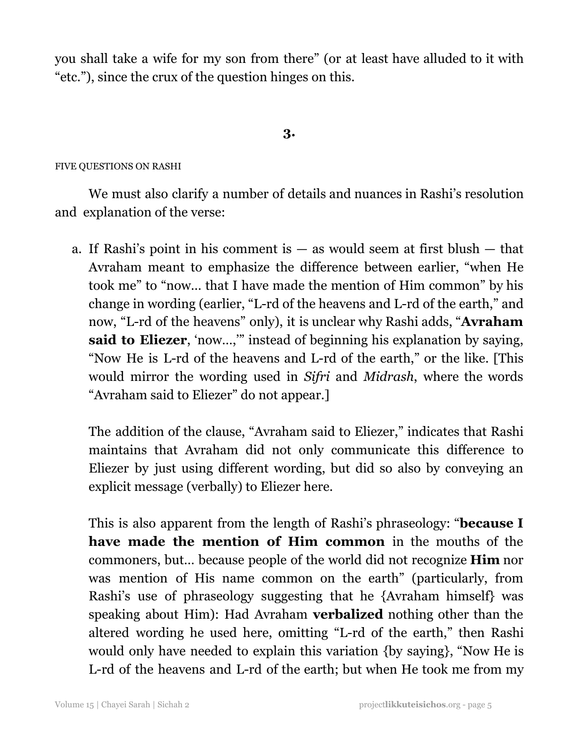you shall take a wife for my son from there" (or at least have alluded to it with "etc."), since the crux of the question hinges on this.

# **3.**

# FIVE QUESTIONS ON RASHI

We must also clarify a number of details and nuances in Rashi's resolution and explanation of the verse:

a. If Rashi's point in his comment is  $-$  as would seem at first blush  $-$  that Avraham meant to emphasize the difference between earlier, "when He took me" to "now… that I have made the mention of Him common" by his change in wording (earlier, "L-rd of the heavens and L-rd of the earth," and now, "L-rd of the heavens" only), it is unclear why Rashi adds, "**Avraham said to Eliezer**, 'now…,'" instead of beginning his explanation by saying, "Now He is L-rd of the heavens and L-rd of the earth," or the like. [This would mirror the wording used in *Sifri* and *Midrash*, where the words "Avraham said to Eliezer" do not appear.]

The addition of the clause, "Avraham said to Eliezer," indicates that Rashi maintains that Avraham did not only communicate this difference to Eliezer by just using different wording, but did so also by conveying an explicit message (verbally) to Eliezer here.

This is also apparent from the length of Rashi's phraseology: "**because I have made the mention of Him common** in the mouths of the commoners, but… because people of the world did not recognize **Him** nor was mention of His name common on the earth" (particularly, from Rashi's use of phraseology suggesting that he {Avraham himself} was speaking about Him): Had Avraham **verbalized** nothing other than the altered wording he used here, omitting "L-rd of the earth," then Rashi would only have needed to explain this variation {by saying}, "Now He is L-rd of the heavens and L-rd of the earth; but when He took me from my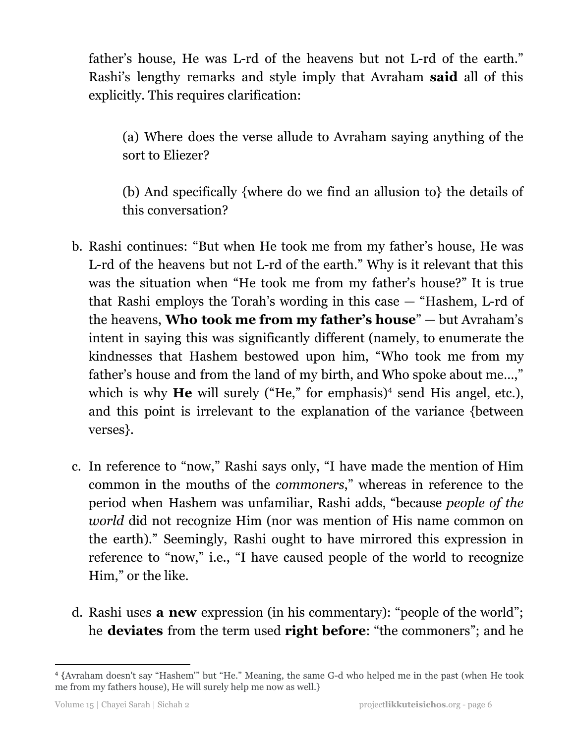father's house, He was L-rd of the heavens but not L-rd of the earth." Rashi's lengthy remarks and style imply that Avraham **said** all of this explicitly. This requires clarification:

(a) Where does the verse allude to Avraham saying anything of the sort to Eliezer?

(b) And specifically {where do we find an allusion to} the details of this conversation?

- b. Rashi continues: "But when He took me from my father's house, He was L-rd of the heavens but not L-rd of the earth." Why is it relevant that this was the situation when "He took me from my father's house?" It is true that Rashi employs the Torah's wording in this case — "Hashem, L-rd of the heavens, **Who took me from my father's house**" — but Avraham's intent in saying this was significantly different (namely, to enumerate the kindnesses that Hashem bestowed upon him, "Who took me from my father's house and from the land of my birth, and Who spoke about me…," which is why **He** will surely ("He," for emphasis)<sup>4</sup> send His angel, etc.), and this point is irrelevant to the explanation of the variance {between verses}.
- c. In reference to "now," Rashi says only, "I have made the mention of Him common in the mouths of the *commoners*," whereas in reference to the period when Hashem was unfamiliar, Rashi adds, "because *people of the world* did not recognize Him (nor was mention of His name common on the earth)." Seemingly, Rashi ought to have mirrored this expression in reference to "now," i.e., "I have caused people of the world to recognize Him," or the like.
- d. Rashi uses **a new** expression (in his commentary): "people of the world"; he **deviates** from the term used **right before**: "the commoners"; and he

<sup>4</sup> {Avraham doesn't say "Hashem'" but "He." Meaning, the same G-d who helped me in the past (when He took me from my fathers house), He will surely help me now as well.}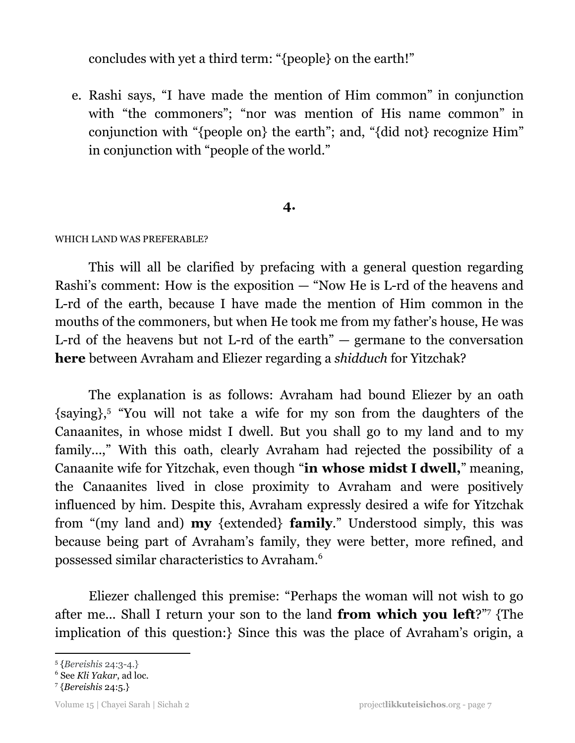concludes with yet a third term: "{people} on the earth!"

e. Rashi says, "I have made the mention of Him common" in conjunction with "the commoners"; "nor was mention of His name common" in conjunction with "{people on} the earth"; and, "{did not} recognize Him" in conjunction with "people of the world."

# **4.**

# WHICH LAND WAS PREFERABLE?

This will all be clarified by prefacing with a general question regarding Rashi's comment: How is the exposition — "Now He is L-rd of the heavens and L-rd of the earth, because I have made the mention of Him common in the mouths of the commoners, but when He took me from my father's house, He was L-rd of the heavens but not L-rd of the earth"  $-$  germane to the conversation **here** between Avraham and Eliezer regarding a *shidduch* for Yitzchak?

The explanation is as follows: Avraham had bound Eliezer by an oath {saying},<sup>5</sup> "You will not take a wife for my son from the daughters of the Canaanites, in whose midst I dwell. But you shall go to my land and to my family...," With this oath, clearly Avraham had rejected the possibility of a Canaanite wife for Yitzchak, even though "**in whose midst I dwell,**" meaning, the Canaanites lived in close proximity to Avraham and were positively influenced by him. Despite this, Avraham expressly desired a wife for Yitzchak from "(my land and) **my** {extended} **family**." Understood simply, this was because being part of Avraham's family, they were better, more refined, and possessed similar characteristics to Avraham. 6

Eliezer challenged this premise: "Perhaps the woman will not wish to go after me... Shall I return your son to the land **from which you left**?" {The 7 implication of this question:} Since this was the place of Avraham's origin, a

<sup>5</sup> {*Bereishis* 24:3-4.}

<sup>6</sup> See *Kli Yakar*, ad loc.

<sup>7</sup> {*Bereishis* 24:5.}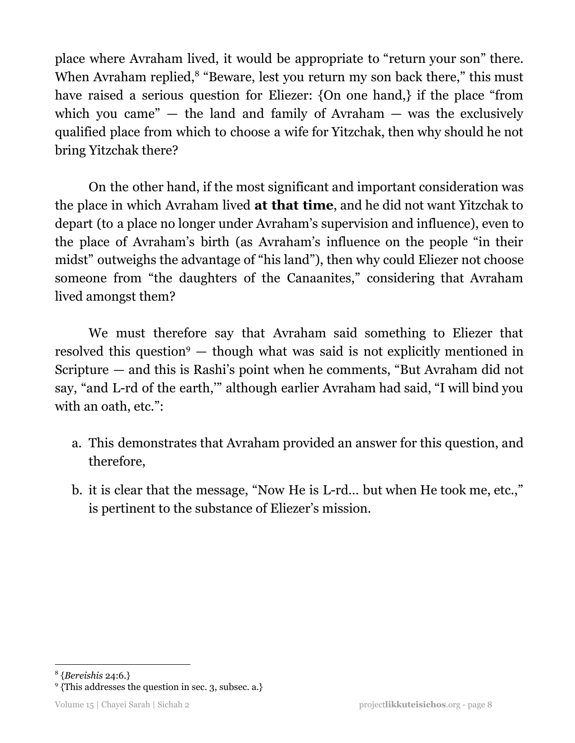place where Avraham lived, it would be appropriate to "return your son" there. When Avraham replied,<sup>8</sup> "Beware, lest you return my son back there," this must have raised a serious question for Eliezer: {On one hand,} if the place "from which you came"  $-$  the land and family of Avraham  $-$  was the exclusively qualified place from which to choose a wife for Yitzchak, then why should he not bring Yitzchak there?

On the other hand, if the most significant and important consideration was the place in which Avraham lived **at that time**, and he did not want Yitzchak to depart (to a place no longer under Avraham's supervision and influence), even to the place of Avraham's birth (as Avraham's influence on the people "in their midst" outweighs the advantage of "his land"), then why could Eliezer not choose someone from "the daughters of the Canaanites," considering that Avraham lived amongst them?

We must therefore say that Avraham said something to Eliezer that resolved this question<sup>9</sup>  $-$  though what was said is not explicitly mentioned in Scripture — and this is Rashi's point when he comments, "But Avraham did not say, "and L-rd of the earth,'" although earlier Avraham had said, "I will bind you with an oath, etc.":

- a. This demonstrates that Avraham provided an answer for this question, and therefore,
- b. it is clear that the message, "Now He is L-rd… but when He took me, etc.," is pertinent to the substance of Eliezer's mission.

<sup>8</sup> {*Bereishis* 24:6.}

<sup>&</sup>lt;sup>9</sup> {This addresses the question in sec. 3, subsec. a.}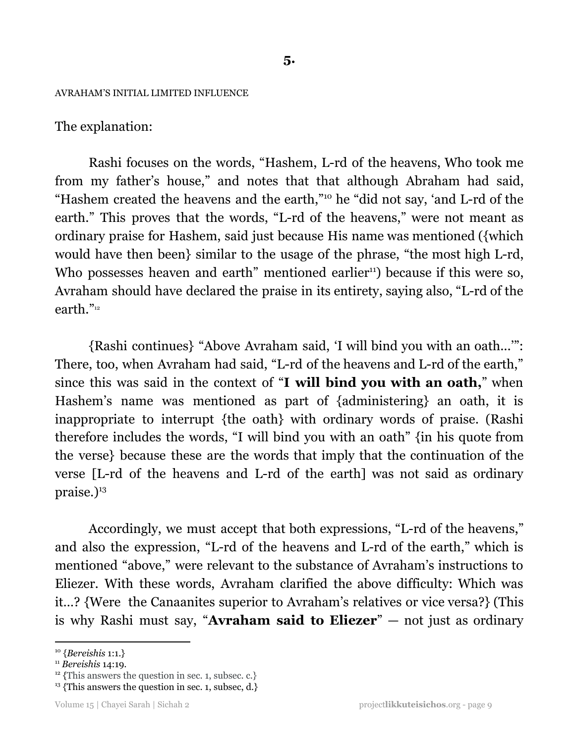#### AVRAHAM'S INITIAL LIMITED INFLUENCE

# The explanation:

Rashi focuses on the words, "Hashem, L-rd of the heavens, Who took me from my father's house," and notes that that although Abraham had said, "Hashem created the heavens and the earth,"<sup>10</sup> he "did not say, 'and L-rd of the earth." This proves that the words, "L-rd of the heavens," were not meant as ordinary praise for Hashem, said just because His name was mentioned ({which would have then been} similar to the usage of the phrase, "the most high L-rd, Who possesses heaven and earth" mentioned earlier<sup>11</sup>) because if this were so, Avraham should have declared the praise in its entirety, saying also, "L-rd of the earth." 12

{Rashi continues} "Above Avraham said, 'I will bind you with an oath...'": There, too, when Avraham had said, "L-rd of the heavens and L-rd of the earth," since this was said in the context of "**I will bind you with an oath,**" when Hashem's name was mentioned as part of {administering} an oath, it is inappropriate to interrupt {the oath} with ordinary words of praise. (Rashi therefore includes the words, "I will bind you with an oath" {in his quote from the verse} because these are the words that imply that the continuation of the verse [L-rd of the heavens and L-rd of the earth] was not said as ordinary praise.) 13

Accordingly, we must accept that both expressions, "L-rd of the heavens," and also the expression, "L-rd of the heavens and L-rd of the earth," which is mentioned "above," were relevant to the substance of Avraham's instructions to Eliezer. With these words, Avraham clarified the above difficulty: Which was it…? {Were the Canaanites superior to Avraham's relatives or vice versa?} (This is why Rashi must say, "**Avraham said to Eliezer**" — not just as ordinary

<sup>10</sup> {*Bereishis* 1:1.}

<sup>11</sup> *Bereishis* 14:19.

<sup>&</sup>lt;sup>12</sup> {This answers the question in sec. 1, subsec. c.}

 $13$  {This answers the question in sec. 1, subsec, d.}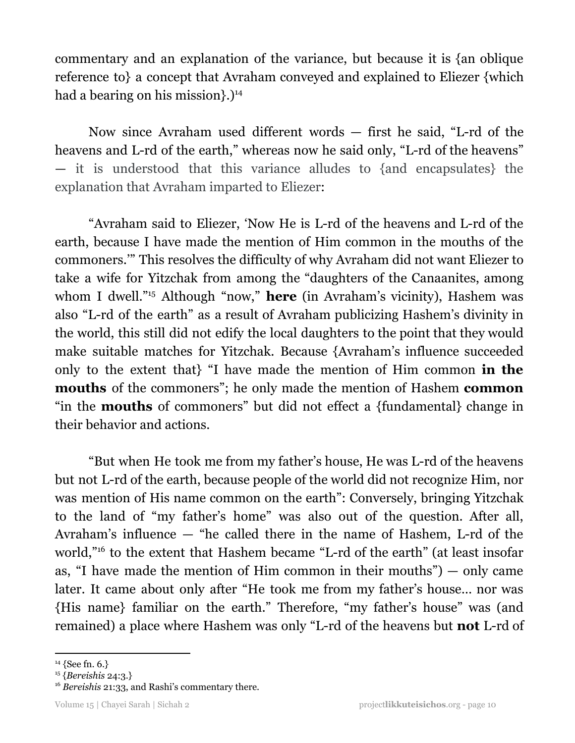commentary and an explanation of the variance, but because it is {an oblique reference to} a concept that Avraham conveyed and explained to Eliezer {which had a bearing on his mission}.) 14

Now since Avraham used different words — first he said, "L-rd of the heavens and L-rd of the earth," whereas now he said only, "L-rd of the heavens" — it is understood that this variance alludes to {and encapsulates} the explanation that Avraham imparted to Eliezer:

"Avraham said to Eliezer, 'Now He is L-rd of the heavens and L-rd of the earth, because I have made the mention of Him common in the mouths of the commoners.'" This resolves the difficulty of why Avraham did not want Eliezer to take a wife for Yitzchak from among the "daughters of the Canaanites, among whom I dwell."<sup>15</sup> Although "now," **here** (in Avraham's vicinity), Hashem was also "L-rd of the earth" as a result of Avraham publicizing Hashem's divinity in the world, this still did not edify the local daughters to the point that they would make suitable matches for Yitzchak. Because {Avraham's influence succeeded only to the extent that} "I have made the mention of Him common **in the mouths** of the commoners"; he only made the mention of Hashem **common** "in the **mouths** of commoners" but did not effect a {fundamental} change in their behavior and actions.

"But when He took me from my father's house, He was L-rd of the heavens but not L-rd of the earth, because people of the world did not recognize Him, nor was mention of His name common on the earth": Conversely, bringing Yitzchak to the land of "my father's home" was also out of the question. After all, Avraham's influence — "he called there in the name of Hashem, L-rd of the world,"<sup>16</sup> to the extent that Hashem became "L-rd of the earth" (at least insofar as, "I have made the mention of Him common in their mouths") — only came later. It came about only after "He took me from my father's house… nor was {His name} familiar on the earth." Therefore, "my father's house" was (and remained) a place where Hashem was only "L-rd of the heavens but **not** L-rd of

 $14$  {See fn. 6.}

<sup>15</sup> {*Bereishis* 24:3.}

<sup>&</sup>lt;sup>16</sup> Bereishis 21:33, and Rashi's commentary there.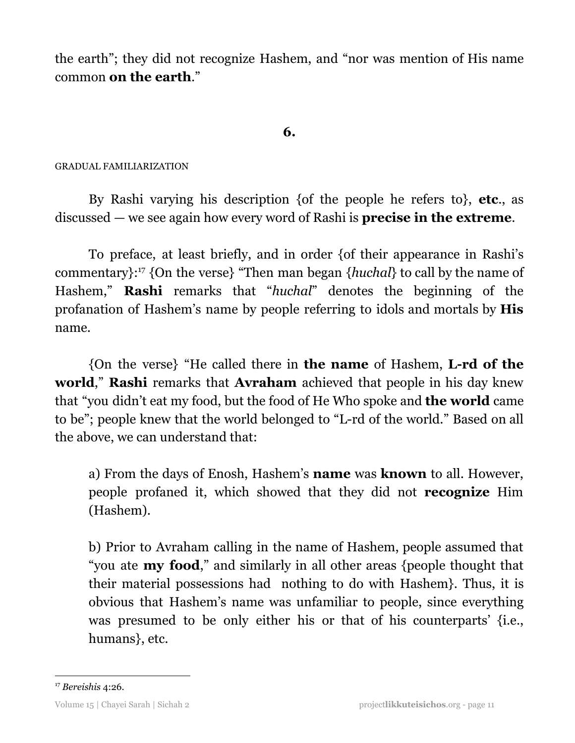the earth"; they did not recognize Hashem, and "nor was mention of His name common **on the earth**."

# **6.**

# GRADUAL FAMILIARIZATION

By Rashi varying his description {of the people he refers to}, **etc**., as discussed — we see again how every word of Rashi is **precise in the extreme**.

To preface, at least briefly, and in order {of their appearance in Rashi's commentary}:<sup>17</sup> {On the verse} "Then man began {*huchal*} to call by the name of Hashem," **Rashi** remarks that "*huchal*" denotes the beginning of the profanation of Hashem's name by people referring to idols and mortals by **His** name.

{On the verse} "He called there in **the name** of Hashem, **L-rd of the world**," **Rashi** remarks that **Avraham** achieved that people in his day knew that "you didn't eat my food, but the food of He Who spoke and **the world** came to be"; people knew that the world belonged to "L-rd of the world." Based on all the above, we can understand that:

a) From the days of Enosh, Hashem's **name** was **known** to all. However, people profaned it, which showed that they did not **recognize** Him (Hashem).

b) Prior to Avraham calling in the name of Hashem, people assumed that "you ate **my food**," and similarly in all other areas {people thought that their material possessions had nothing to do with Hashem}. Thus, it is obvious that Hashem's name was unfamiliar to people, since everything was presumed to be only either his or that of his counterparts' {i.e., humans}, etc.

<sup>17</sup> *Bereishis* 4:26.

Volume 15 | Chayei Sarah | Sichah 2 project**likkuteisichos**.org - page 11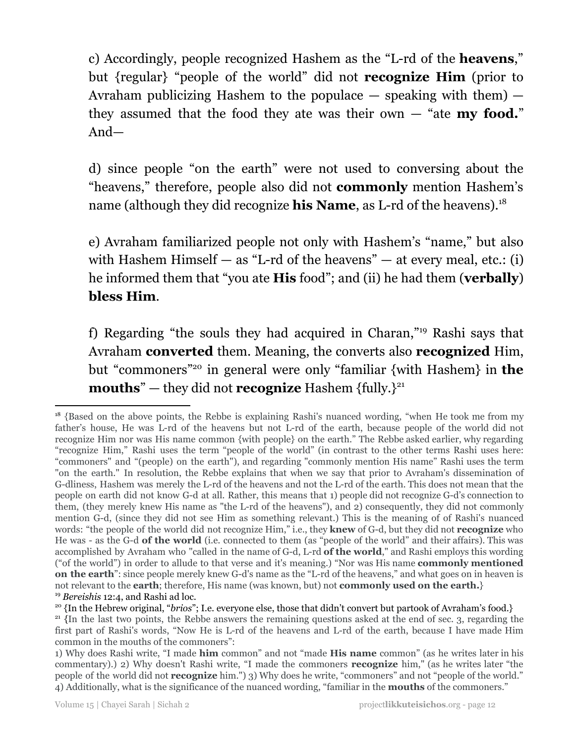c) Accordingly, people recognized Hashem as the "L-rd of the **heavens**," but {regular} "people of the world" did not **recognize Him** (prior to Avraham publicizing Hashem to the populace  $-$  speaking with them)  $$ they assumed that the food they ate was their own — "ate **my food.**" And—

d) since people "on the earth" were not used to conversing about the "heavens," therefore, people also did not **commonly** mention Hashem's name (although they did recognize **his Name**, as L-rd of the heavens). 18

e) Avraham familiarized people not only with Hashem's "name," but also with Hashem Himself  $-$  as "L-rd of the heavens"  $-$  at every meal, etc.: (i) he informed them that "you ate **His** food"; and (ii) he had them (**verbally**) **bless Him**.

f) Regarding "the souls they had acquired in Charan,"<sup>19</sup> Rashi says that Avraham **converted** them. Meaning, the converts also **recognized** Him, but "commoners"<sup>20</sup> in general were only "familiar {with Hashem} in the **mouths**" — they did not **recognize** Hashem {fully.} 21

<sup>19</sup> *Bereishis* 12:4, and Rashi ad loc. <sup>18</sup> {Based on the above points, the Rebbe is explaining Rashi's nuanced wording, "when He took me from my father's house, He was L-rd of the heavens but not L-rd of the earth, because people of the world did not recognize Him nor was His name common {with people} on the earth." The Rebbe asked earlier, why regarding "recognize Him," Rashi uses the term "people of the world" (in contrast to the other terms Rashi uses here: "commoners" and "(people) on the earth"), and regarding "commonly mention His name" Rashi uses the term "on the earth." In resolution, the Rebbe explains that when we say that prior to Avraham's dissemination of G-dliness, Hashem was merely the L-rd of the heavens and not the L-rd of the earth. This does not mean that the people on earth did not know G-d at all. Rather, this means that 1) people did not recognize G-d's connection to them, (they merely knew His name as "the L-rd of the heavens"), and 2) consequently, they did not commonly mention G-d, (since they did not see Him as something relevant.) This is the meaning of of Rashi's nuanced words: "the people of the world did not recognize Him," i.e., they **knew** of G-d, but they did not **recognize** who He was - as the G-d **of the world** (i.e. connected to them (as "people of the world" and their affairs). This was accomplished by Avraham who "called in the name of G-d, L-rd **of the world**," and Rashi employs this wording ("of the world") in order to allude to that verse and it's meaning.) "Nor was His name **commonly mentioned on the earth**": since people merely knew G-d's name as the "L-rd of the heavens," and what goes on in heaven is not relevant to the **earth**; therefore, His name (was known, but) not **commonly used on the earth.**}

<sup>&</sup>lt;sup>20</sup> {In the Hebrew original, "*brios*"; I.e. everyone else, those that didn't convert but partook of Avraham's food.}

<sup>&</sup>lt;sup>21</sup> {In the last two points, the Rebbe answers the remaining questions asked at the end of sec. 3, regarding the first part of Rashi's words, "Now He is L-rd of the heavens and L-rd of the earth, because I have made Him common in the mouths of the commoners":

<sup>1)</sup> Why does Rashi write, "I made **him** common" and not "made **His name** common" (as he writes later in his commentary).) 2) Why doesn't Rashi write, "I made the commoners **recognize** him," (as he writes later "the people of the world did not **recognize** him.") 3) Why does he write, "commoners" and not "people of the world." 4) Additionally, what is the significance of the nuanced wording, "familiar in the **mouths** of the commoners."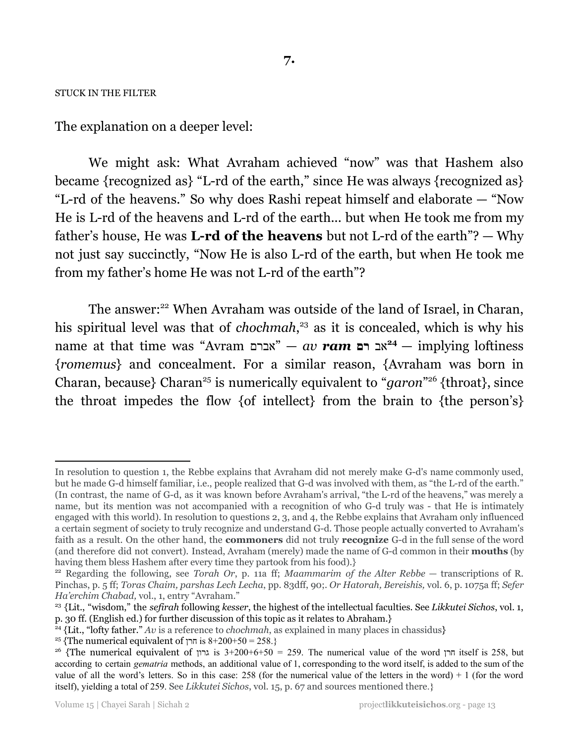#### STUCK IN THE FILTER

The explanation on a deeper level:

We might ask: What Avraham achieved "now" was that Hashem also became {recognized as} "L-rd of the earth," since He was always {recognized as} "L-rd of the heavens." So why does Rashi repeat himself and elaborate — "Now He is L-rd of the heavens and L-rd of the earth... but when He took me from my father's house, He was **L-rd of the heavens** but not L-rd of the earth"? — Why not just say succinctly, "Now He is also L-rd of the earth, but when He took me from my father's home He was not L-rd of the earth"?

The answer:<sup>22</sup> When Avraham was outside of the land of Israel, in Charan, his spiritual level was that of *chochmah*,<sup>23</sup> as it is concealed, which is why his name at that time was "Avram אברם — "*av ram* **רם** אב — implying loftiness **24** {*romemus*} and concealment. For a similar reason, {Avraham was born in Charan, because} Charan<sup>25</sup> is numerically equivalent to "*garon*"<sup>26</sup> {throat}, since the throat impedes the flow {of intellect} from the brain to {the person's}

In resolution to question 1, the Rebbe explains that Avraham did not merely make G-d's name commonly used, but he made G-d himself familiar, i.e., people realized that G-d was involved with them, as "the L-rd of the earth." (In contrast, the name of G-d, as it was known before Avraham's arrival, "the L-rd of the heavens," was merely a name, but its mention was not accompanied with a recognition of who G-d truly was - that He is intimately engaged with this world). In resolution to questions 2, 3, and 4, the Rebbe explains that Avraham only influenced a certain segment of society to truly recognize and understand G-d. Those people actually converted to Avraham's faith as a result. On the other hand, the **commoners** did not truly **recognize** G-d in the full sense of the word (and therefore did not convert). Instead, Avraham (merely) made the name of G-d common in their **mouths** (by having them bless Hashem after every time they partook from his food).}

<sup>22</sup> Regarding the following, see *Torah Or*, p. 11a ff; *Maammarim of the Alter Rebbe* — transcriptions of R. Pinchas, p. 5 ff; *Toras Chaim, parshas Lech Lecha*, pp. 83dff, 90;. *Or Hatorah, Bereishis,* vol. 6, p. 1075a ff; *Sefer Ha'erchim Chabad,* vol., 1, entry "Avraham."

<sup>23</sup> {Lit., "wisdom," the *sefirah* following *kesser*, the highest of the intellectual faculties. See *Likkutei Sichos*, vol. 1, p. 30 ff. (English ed.) for further discussion of this topic as it relates to Abraham.}

<sup>24</sup> {Lit., "lofty father." *Av* is a reference to *chochmah*, as explained in many places in chassidus}

<sup>&</sup>lt;sup>25</sup> {The numerical equivalent of  $n = 8+200+50 = 258$ .}

<sup>&</sup>lt;sup>26</sup> {The numerical equivalent of  $\pi$  is 3+200+6+50 = 259. The numerical value of the word  $\pi$ n itself is 258, but according to certain *gematria* methods, an additional value of 1, corresponding to the word itself, is added to the sum of the value of all the word's letters. So in this case:  $258$  (for the numerical value of the letters in the word) + 1 (for the word itself), yielding a total of 259. See *Likkutei Sichos*, vol. 15, p. 67 and sources mentioned there.}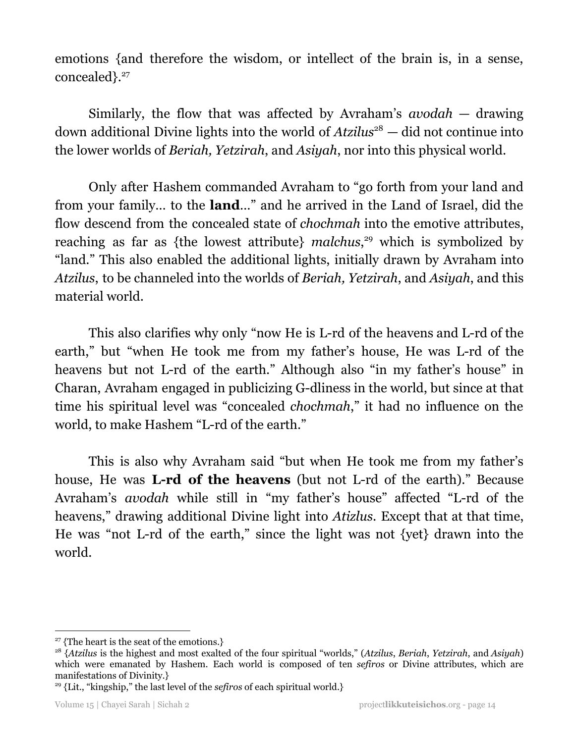emotions {and therefore the wisdom, or intellect of the brain is, in a sense, concealed}. 27

Similarly, the flow that was affected by Avraham's *avodah* — drawing down additional Divine lights into the world of *Atzilus*<sup>28</sup> – did not continue into the lower worlds of *Beriah, Yetzirah*, and *Asiyah*, nor into this physical world.

Only after Hashem commanded Avraham to "go forth from your land and from your family… to the **land**…" and he arrived in the Land of Israel, did the flow descend from the concealed state of *chochmah* into the emotive attributes, reaching as far as {the lowest attribute} *malchus*,<sup>29</sup> which is symbolized by "land." This also enabled the additional lights, initially drawn by Avraham into *Atzilus*, to be channeled into the worlds of *Beriah, Yetzirah*, and *Asiyah*, and this material world.

This also clarifies why only "now He is L-rd of the heavens and L-rd of the earth," but "when He took me from my father's house, He was L-rd of the heavens but not L-rd of the earth." Although also "in my father's house" in Charan, Avraham engaged in publicizing G-dliness in the world, but since at that time his spiritual level was "concealed *chochmah*," it had no influence on the world, to make Hashem "L-rd of the earth."

This is also why Avraham said "but when He took me from my father's house, He was **L-rd of the heavens** (but not L-rd of the earth)." Because Avraham's *avodah* while still in "my father's house" affected "L-rd of the heavens," drawing additional Divine light into *Atizlus*. Except that at that time, He was "not L-rd of the earth," since the light was not {yet} drawn into the world.

<sup>&</sup>lt;sup>27</sup> {The heart is the seat of the emotions.}

<sup>28</sup> {*Atzilus* is the highest and most exalted of the four spiritual "worlds," (*Atzilus*, *Beriah*, *Yetzirah*, and *Asiyah*) which were emanated by Hashem. Each world is composed of ten *sefiros* or Divine attributes, which are manifestations of Divinity.}

<sup>29</sup> {Lit., "kingship," the last level of the *sefiros* of each spiritual world.}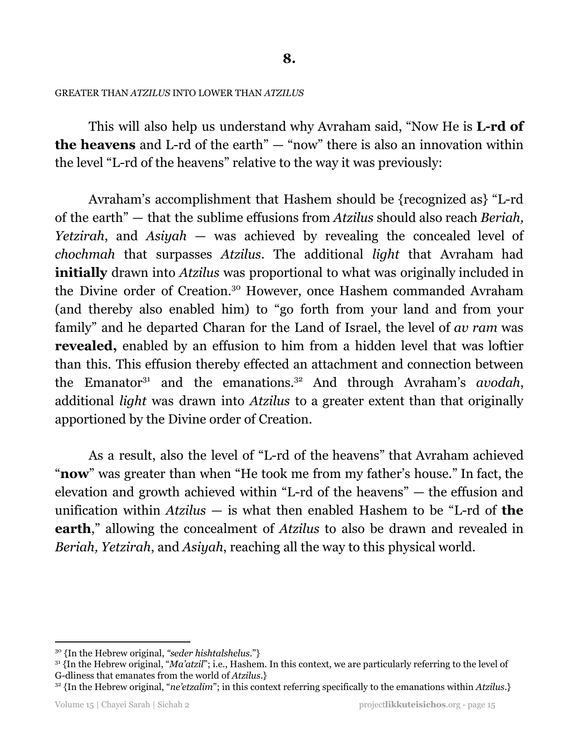## GREATER THAN *ATZILUS* INTO LOWER THAN *ATZILUS*

This will also help us understand why Avraham said, "Now He is **L-rd of the heavens** and L-rd of the earth" — "now" there is also an innovation within the level "L-rd of the heavens" relative to the way it was previously:

Avraham's accomplishment that Hashem should be {recognized as} "L-rd of the earth" — that the sublime effusions from *Atzilus* should also reach *Beriah, Yetzirah*, and *Asiyah* — was achieved by revealing the concealed level of *chochmah* that surpasses *Atzilus*. The additional *light* that Avraham had **initially** drawn into *Atzilus* was proportional to what was originally included in the Divine order of Creation. <sup>30</sup> However, once Hashem commanded Avraham (and thereby also enabled him) to "go forth from your land and from your family" and he departed Charan for the Land of Israel, the level of *av ram* was **revealed,** enabled by an effusion to him from a hidden level that was loftier than this. This effusion thereby effected an attachment and connection between the Emanator<sup>31</sup> and the emanations.<sup>32</sup> And through Avraham's *avodah*, additional *light* was drawn into *Atzilus* to a greater extent than that originally apportioned by the Divine order of Creation.

As a result, also the level of "L-rd of the heavens" that Avraham achieved "**now**" was greater than when "He took me from my father's house." In fact, the elevation and growth achieved within "L-rd of the heavens" — the effusion and unification within *Atzilus* — is what then enabled Hashem to be "L-rd of **the earth**," allowing the concealment of *Atzilus* to also be drawn and revealed in *Beriah, Yetzirah*, and *Asiyah*, reaching all the way to this physical world.

<sup>30</sup> {In the Hebrew original, *"seder hishtalshelus*."}

<sup>&</sup>lt;sup>31</sup> {In the Hebrew original, "*Ma'atzil*"; i.e., Hashem. In this context, we are particularly referring to the level of G-dliness that emanates from the world of *Atzilus*.}

<sup>32</sup> {In the Hebrew original, "*ne'etzalim*"; in this context referring specifically to the emanations within *Atzilus*.}